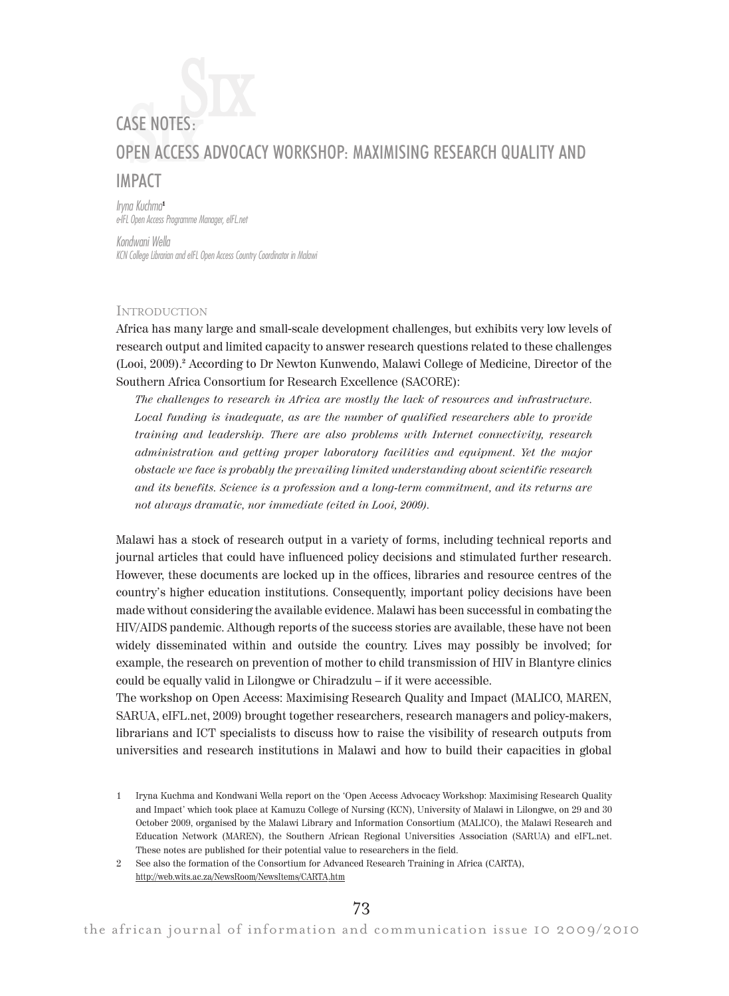# CASE NOTES:<br>OPEN ACCESS ADVOCACY WORKSHOP: MAXIMISING RESEARCH QUALITY AND  $\mathrm{S}\mathrm{\textbf{K}}$ IMPACT

Iryna Kuchma<sup>1</sup> e-IFL Open Access Programme Manager, eIFL.net

Kondwani Wella KCN College Librarian and eIFL Open Access Country Coordinator in Malawi

## **INTRODUCTION**

Africa has many large and small-scale development challenges, but exhibits very low levels of research output and limited capacity to answer research questions related to these challenges (Looi, 2009).<sup>2</sup> According to Dr Newton Kunwendo, Malawi College of Medicine, Director of the Southern Africa Consortium for Research Excellence (SACORE):

The challenges to research in Africa are mostly the lack of resources and infrastructure. Local funding is inadequate, as are the number of qualified researchers able to provide training and leadership. There are also problems with Internet connectivity, research administration and getting proper laboratory facilities and equipment. Yet the major obstacle we face is probably the prevailing limited understanding about scientific research and its benefits. Science is a profession and a long-term commitment, and its returns are not always dramatic, nor immediate (cited in Looi, 2009).

Malawi has a stock of research output in a variety of forms, including technical reports and journal articles that could have influenced policy decisions and stimulated further research. However, these documents are locked up in the offices, libraries and resource centres of the country's higher education institutions. Consequently, important policy decisions have been made without considering the available evidence. Malawi has been successful in combating the HIV/AIDS pandemic. Although reports of the success stories are available, these have not been widely disseminated within and outside the country. Lives may possibly be involved; for example, the research on prevention of mother to child transmission of HIV in Blantyre clinics could be equally valid in Lilongwe or Chiradzulu – if it were accessible.

The workshop on Open Access: Maximising Research Quality and Impact (MALICO, MAREN, SARUA, eIFL.net, 2009) brought together researchers, research managers and policy-makers, librarians and ICT specialists to discuss how to raise the visibility of research outputs from universities and research institutions in Malawi and how to build their capacities in global

2 See also the formation of the Consortium for Advanced Research Training in Africa (CARTA), http://web.wits.ac.za/NewsRoom/NewsItems/CARTA.htm

<sup>1</sup> Iryna Kuchma and Kondwani Wella report on the 'Open Access Advocacy Workshop: Maximising Research Quality and Impact' which took place at Kamuzu College of Nursing (KCN), University of Malawi in Lilongwe, on 29 and 30 October 2009, organised by the Malawi Library and Information Consortium (MALICO), the Malawi Research and Education Network (MAREN), the Southern African Regional Universities Association (SARUA) and eIFL.net. These notes are published for their potential value to researchers in the field.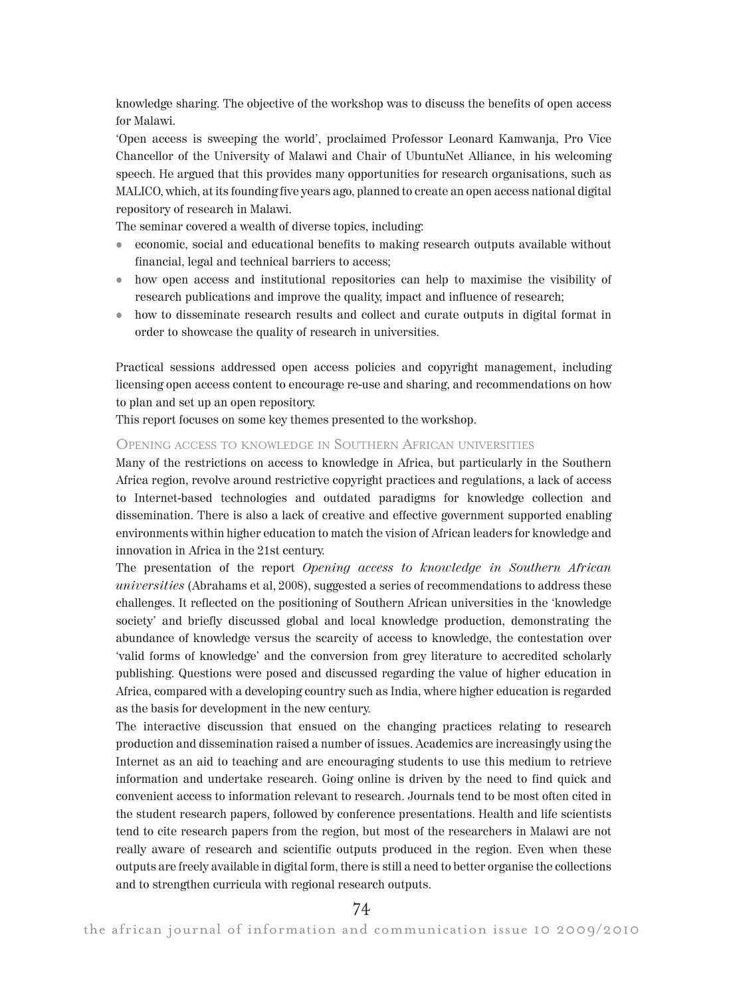knowledge sharing. The objective of the workshop was to discuss the benefits of open access for Malawi.

'Open access is sweeping the world', proclaimed Professor Leonard Kamwanja, Pro Vice Chancellor of the University of Malawi and Chair of UbuntuNet Alliance, in his welcoming speech. He argued that this provides many opportunities for research organisations, such as MALICO, which, at its founding five years ago, planned to create an open access national digital repository of research in Malawi.

The seminar covered a wealth of diverse topics, including:

- economic, social and educational benefits to making research outputs available without financial, legal and technical barriers to access;
- how open access and institutional repositories can help to maximise the visibility of research publications and improve the quality, impact and influence of research;
- how to disseminate research results and collect and curate outputs in digital format in order to showcase the quality of research in universities.

Practical sessions addressed open access policies and copyright management, including licensing open access content to encourage re-use and sharing, and recommendations on how to plan and set up an open repository.

This report focuses on some key themes presented to the workshop.

### OPENING ACCESS TO KNOWLEDGE IN SOUTHERN AFRICAN UNIVERSITIES

Many of the restrictions on access to knowledge in Africa, but particularly in the Southern Africa region, revolve around restrictive copyright practices and regulations, a lack of access to Internet-based technologies and outdated paradigms for knowledge collection and dissemination. There is also a lack of creative and effective government supported enabling environments within higher education to match the vision of African leaders for knowledge and innovation in Africa in the 21st century.

The presentation of the report Opening access to knowledge in Southern African universities (Abrahams et al, 2008), suggested a series of recommendations to address these challenges. It reflected on the positioning of Southern African universities in the 'knowledge society' and briefly discussed global and local knowledge production, demonstrating the abundance of knowledge versus the scarcity of access to knowledge, the contestation over 'valid forms of knowledge' and the conversion from grey literature to accredited scholarly publishing. Questions were posed and discussed regarding the value of higher education in Africa, compared with a developing country such as India, where higher education is regarded as the basis for development in the new century.

The interactive discussion that ensued on the changing practices relating to research production and dissemination raised a number of issues. Academics are increasingly using the Internet as an aid to teaching and are encouraging students to use this medium to retrieve information and undertake research. Going online is driven by the need to find quick and convenient access to information relevant to research. Journals tend to be most often cited in the student research papers, followed by conference presentations. Health and life scientists tend to cite research papers from the region, but most of the researchers in Malawi are not really aware of research and scientific outputs produced in the region. Even when these outputs are freely available in digital form, there is still a need to better organise the collections and to strengthen curricula with regional research outputs.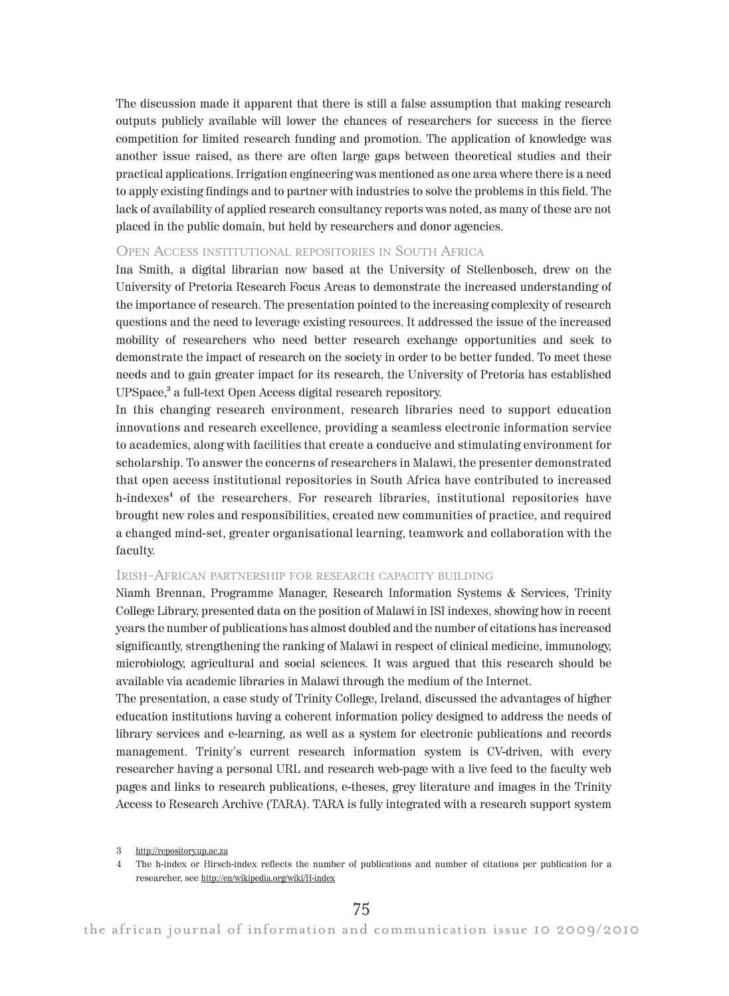The discussion made it apparent that there is still a false assumption that making research outputs publicly available will lower the chances of researchers for success in the fierce competition for limited research funding and promotion. The application of knowledge was another issue raised, as there are often large gaps between theoretical studies and their practical applications. Irrigation engineering was mentioned as one area where there is a need to apply existing findings and to partner with industries to solve the problems in this field. The lack of availability of applied research consultancy reports was noted, as many of these are not placed in the public domain, but held by researchers and donor agencies.

## OPEN ACCESS INSTITUTIONAL REPOSITORIES IN SOUTH AFRICA

Ina Smith, a digital librarian now based at the University of Stellenbosch, drew on the University of Pretoria Research Focus Areas to demonstrate the increased understanding of the importance of research. The presentation pointed to the increasing complexity of research questions and the need to leverage existing resources. It addressed the issue of the increased mobility of researchers who need better research exchange opportunities and seek to demonstrate the impact of research on the society in order to be better funded. To meet these needs and to gain greater impact for its research, the University of Pretoria has established UPSpace,<sup>3</sup> a full-text Open Access digital research repository.

In this changing research environment, research libraries need to support education innovations and research excellence, providing a seamless electronic information service to academics, along with facilities that create a conducive and stimulating environment for scholarship. To answer the concerns of researchers in Malawi, the presenter demonstrated that open access institutional repositories in South Africa have contributed to increased h-indexes<sup>4</sup> of the researchers. For research libraries, institutional repositories have brought new roles and responsibilities, created new communities of practice, and required a changed mind-set, greater organisational learning, teamwork and collaboration with the faculty.

## IRISH-AFRICAN PARTNERSHIP FOR RESEARCH CAPACITY BUILDING

Niamh Brennan, Programme Manager, Research Information Systems & Services, Trinity College Library, presented data on the position of Malawi in ISI indexes, showing how in recent years the number of publications has almost doubled and the number of citations has increased significantly, strengthening the ranking of Malawi in respect of clinical medicine, immunology, microbiology, agricultural and social sciences. It was argued that this research should be available via academic libraries in Malawi through the medium of the Internet.

The presentation, a case study of Trinity College, Ireland, discussed the advantages of higher education institutions having a coherent information policy designed to address the needs of library services and e-learning, as well as a system for electronic publications and records management. Trinity's current research information system is CV-driven, with every researcher having a personal URL and research web-page with a live feed to the faculty web pages and links to research publications, e-theses, grey literature and images in the Trinity Access to Research Archive (TARA). TARA is fully integrated with a research support system

<sup>3</sup> http://repository.up.ac.za

<sup>4</sup> The h-index or Hirsch-index reflects the number of publications and number of citations per publication for a researcher, see http://en/wikipedia.org/wiki/H-index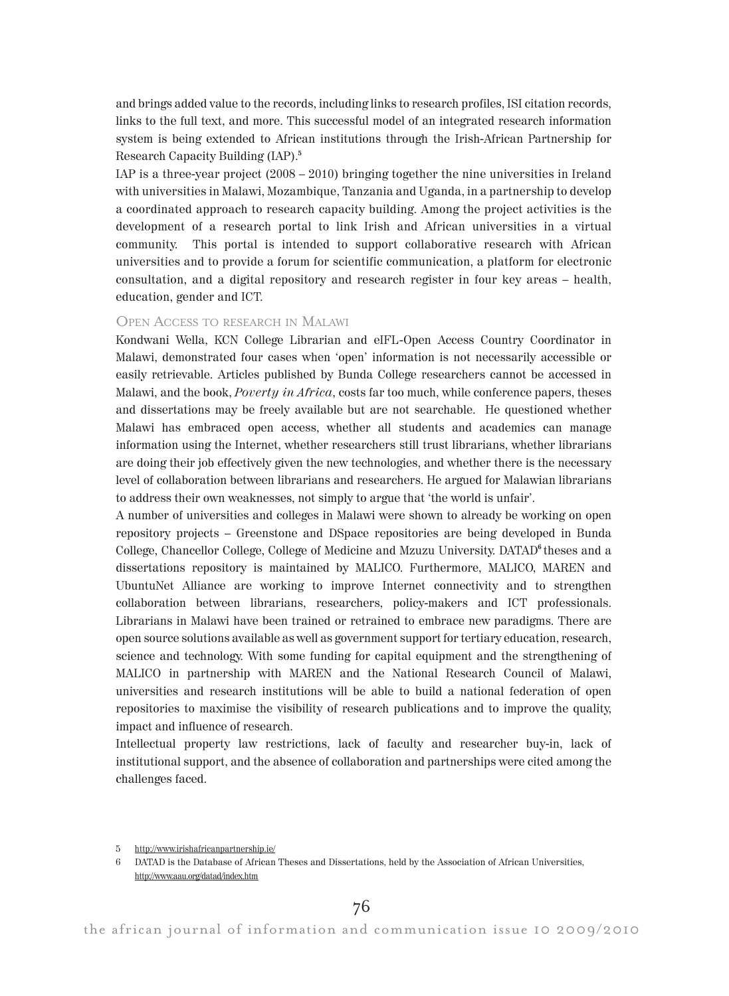and brings added value to the records, including links to research profiles, ISI citation records, links to the full text, and more. This successful model of an integrated research information system is being extended to African institutions through the Irish-African Partnership for Research Capacity Building (IAP).<sup>5</sup>

IAP is a three-year project (2008 – 2010) bringing together the nine universities in Ireland with universities in Malawi, Mozambique, Tanzania and Uganda, in a partnership to develop a coordinated approach to research capacity building. Among the project activities is the development of a research portal to link Irish and African universities in a virtual community. This portal is intended to support collaborative research with African universities and to provide a forum for scientific communication, a platform for electronic consultation, and a digital repository and research register in four key areas – health, education, gender and ICT.

## OPEN ACCESS TO RESEARCH IN MALAWI

Kondwani Wella, KCN College Librarian and eIFL-Open Access Country Coordinator in Malawi, demonstrated four cases when 'open' information is not necessarily accessible or easily retrievable. Articles published by Bunda College researchers cannot be accessed in Malawi, and the book, Poverty in Africa, costs far too much, while conference papers, theses and dissertations may be freely available but are not searchable. He questioned whether Malawi has embraced open access, whether all students and academics can manage information using the Internet, whether researchers still trust librarians, whether librarians are doing their job effectively given the new technologies, and whether there is the necessary level of collaboration between librarians and researchers. He argued for Malawian librarians to address their own weaknesses, not simply to argue that 'the world is unfair'.

A number of universities and colleges in Malawi were shown to already be working on open repository projects – Greenstone and DSpace repositories are being developed in Bunda College, Chancellor College, College of Medicine and Mzuzu University. DATAD<sup>6</sup> theses and a dissertations repository is maintained by MALICO. Furthermore, MALICO, MAREN and UbuntuNet Alliance are working to improve Internet connectivity and to strengthen collaboration between librarians, researchers, policy-makers and ICT professionals. Librarians in Malawi have been trained or retrained to embrace new paradigms. There are open source solutions available as well as government support for tertiary education, research, science and technology. With some funding for capital equipment and the strengthening of MALICO in partnership with MAREN and the National Research Council of Malawi, universities and research institutions will be able to build a national federation of open repositories to maximise the visibility of research publications and to improve the quality, impact and influence of research.

Intellectual property law restrictions, lack of faculty and researcher buy-in, lack of institutional support, and the absence of collaboration and partnerships were cited among the challenges faced.

<sup>5</sup> http://www.irishafricanpartnership.ie/

<sup>6</sup> DATAD is the Database of African Theses and Dissertations, held by the Association of African Universities, http://www.aau.org/datad/index.htm